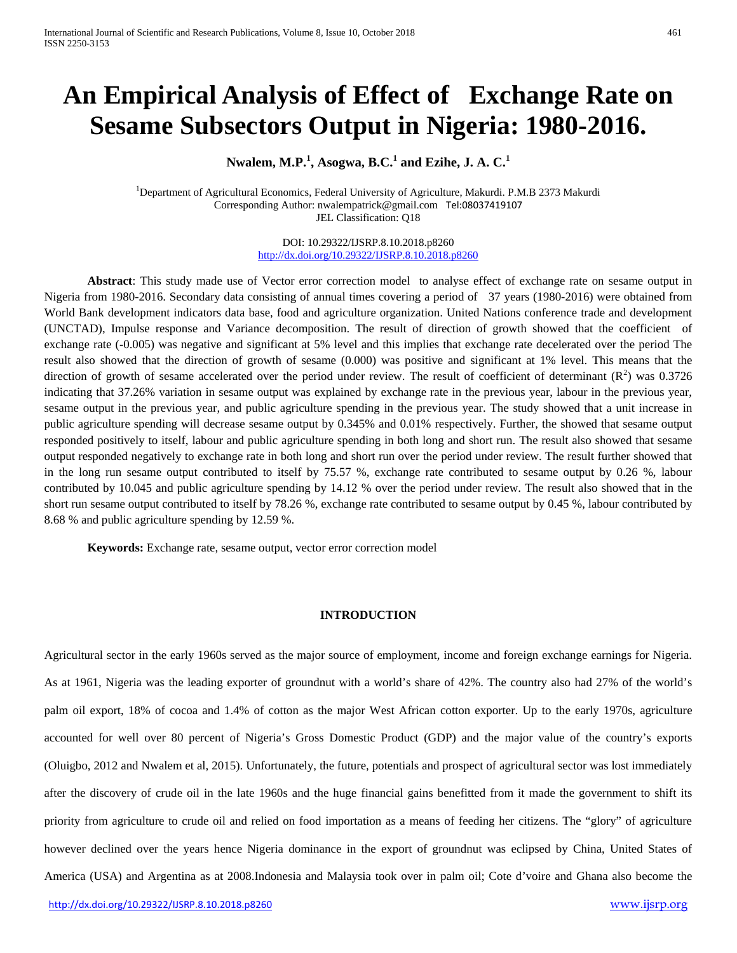# **An Empirical Analysis of Effect of Exchange Rate on Sesame Subsectors Output in Nigeria: 1980-2016.**

**Nwalem, M.P.<sup>1</sup> , Asogwa, B.C.<sup>1</sup> and Ezihe, J. A. C.<sup>1</sup>**

<sup>1</sup>Department of Agricultural Economics, Federal University of Agriculture, Makurdi. P.M.B 2373 Makurdi Corresponding Author: nwalempatrick@gmail.com [Tel:08037419107](tel:08037419107) JEL Classification: Q18

> DOI: 10.29322/IJSRP.8.10.2018.p8260 <http://dx.doi.org/10.29322/IJSRP.8.10.2018.p8260>

**Abstract**: This study made use of Vector error correction model to analyse effect of exchange rate on sesame output in Nigeria from 1980-2016. Secondary data consisting of annual times covering a period of 37 years (1980-2016) were obtained from World Bank development indicators data base, food and agriculture organization. United Nations conference trade and development (UNCTAD), Impulse response and Variance decomposition. The result of direction of growth showed that the coefficient of exchange rate (-0.005) was negative and significant at 5% level and this implies that exchange rate decelerated over the period The result also showed that the direction of growth of sesame (0.000) was positive and significant at 1% level. This means that the direction of growth of sesame accelerated over the period under review. The result of coefficient of determinant  $(R^2)$  was 0.3726 indicating that 37.26% variation in sesame output was explained by exchange rate in the previous year, labour in the previous year, sesame output in the previous year, and public agriculture spending in the previous year. The study showed that a unit increase in public agriculture spending will decrease sesame output by 0.345% and 0.01% respectively. Further, the showed that sesame output responded positively to itself, labour and public agriculture spending in both long and short run. The result also showed that sesame output responded negatively to exchange rate in both long and short run over the period under review. The result further showed that in the long run sesame output contributed to itself by 75.57 %, exchange rate contributed to sesame output by 0.26 %, labour contributed by 10.045 and public agriculture spending by 14.12 % over the period under review. The result also showed that in the short run sesame output contributed to itself by 78.26 %, exchange rate contributed to sesame output by 0.45 %, labour contributed by 8.68 % and public agriculture spending by 12.59 %.

**Keywords:** Exchange rate, sesame output, vector error correction model

# **INTRODUCTION**

Agricultural sector in the early 1960s served as the major source of employment, income and foreign exchange earnings for Nigeria. As at 1961, Nigeria was the leading exporter of groundnut with a world's share of 42%. The country also had 27% of the world's palm oil export, 18% of cocoa and 1.4% of cotton as the major West African cotton exporter. Up to the early 1970s, agriculture accounted for well over 80 percent of Nigeria's Gross Domestic Product (GDP) and the major value of the country's exports (Oluigbo, 2012 and Nwalem et al, 2015). Unfortunately, the future, potentials and prospect of agricultural sector was lost immediately after the discovery of crude oil in the late 1960s and the huge financial gains benefitted from it made the government to shift its priority from agriculture to crude oil and relied on food importation as a means of feeding her citizens. The "glory" of agriculture however declined over the years hence Nigeria dominance in the export of groundnut was eclipsed by China, United States of America (USA) and Argentina as at 2008.Indonesia and Malaysia took over in palm oil; Cote d'voire and Ghana also become the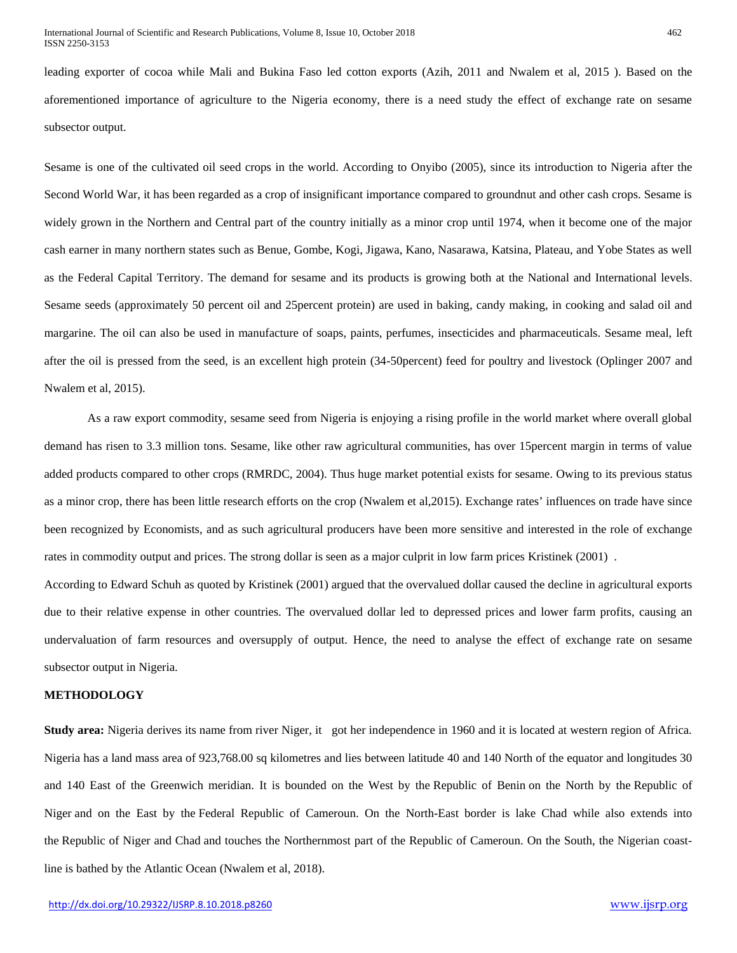leading exporter of cocoa while Mali and Bukina Faso led cotton exports (Azih, 2011 and Nwalem et al, 2015 ). Based on the aforementioned importance of agriculture to the Nigeria economy, there is a need study the effect of exchange rate on sesame subsector output.

Sesame is one of the cultivated oil seed crops in the world. According to Onyibo (2005), since its introduction to Nigeria after the Second World War, it has been regarded as a crop of insignificant importance compared to groundnut and other cash crops. Sesame is widely grown in the Northern and Central part of the country initially as a minor crop until 1974, when it become one of the major cash earner in many northern states such as Benue, Gombe, Kogi, Jigawa, Kano, Nasarawa, Katsina, Plateau, and Yobe States as well as the Federal Capital Territory. The demand for sesame and its products is growing both at the National and International levels. Sesame seeds (approximately 50 percent oil and 25percent protein) are used in baking, candy making, in cooking and salad oil and margarine. The oil can also be used in manufacture of soaps, paints, perfumes, insecticides and pharmaceuticals. Sesame meal, left after the oil is pressed from the seed, is an excellent high protein (34-50percent) feed for poultry and livestock (Oplinger 2007 and Nwalem et al, 2015).

As a raw export commodity, sesame seed from Nigeria is enjoying a rising profile in the world market where overall global demand has risen to 3.3 million tons. Sesame, like other raw agricultural communities, has over 15percent margin in terms of value added products compared to other crops (RMRDC, 2004). Thus huge market potential exists for sesame. Owing to its previous status as a minor crop, there has been little research efforts on the crop (Nwalem et al,2015). Exchange rates' influences on trade have since been recognized by Economists, and as such agricultural producers have been more sensitive and interested in the role of exchange rates in commodity output and prices. The strong dollar is seen as a major culprit in low farm prices Kristinek (2001) .

According to Edward Schuh as quoted by Kristinek (2001) argued that the overvalued dollar caused the decline in agricultural exports due to their relative expense in other countries. The overvalued dollar led to depressed prices and lower farm profits, causing an undervaluation of farm resources and oversupply of output. Hence, the need to analyse the effect of exchange rate on sesame subsector output in Nigeria.

#### **METHODOLOGY**

**Study area:** Nigeria derives its name from river Niger, it got her independence in 1960 and it is located at western region of Africa. Nigeria has a land mass area of 923,768.00 sq kilometres and lies between latitude 40 and 140 North of the equator and longitudes 30 and 140 East of the Greenwich meridian. It is bounded on the West by the Republic of Benin on the North by the Republic of Niger and on the East by the Federal Republic of Cameroun. On the North-East border is lake Chad while also extends into the Republic of Niger and Chad and touches the Northernmost part of the Republic of Cameroun. On the South, the Nigerian coastline is bathed by the Atlantic Ocean (Nwalem et al, 2018).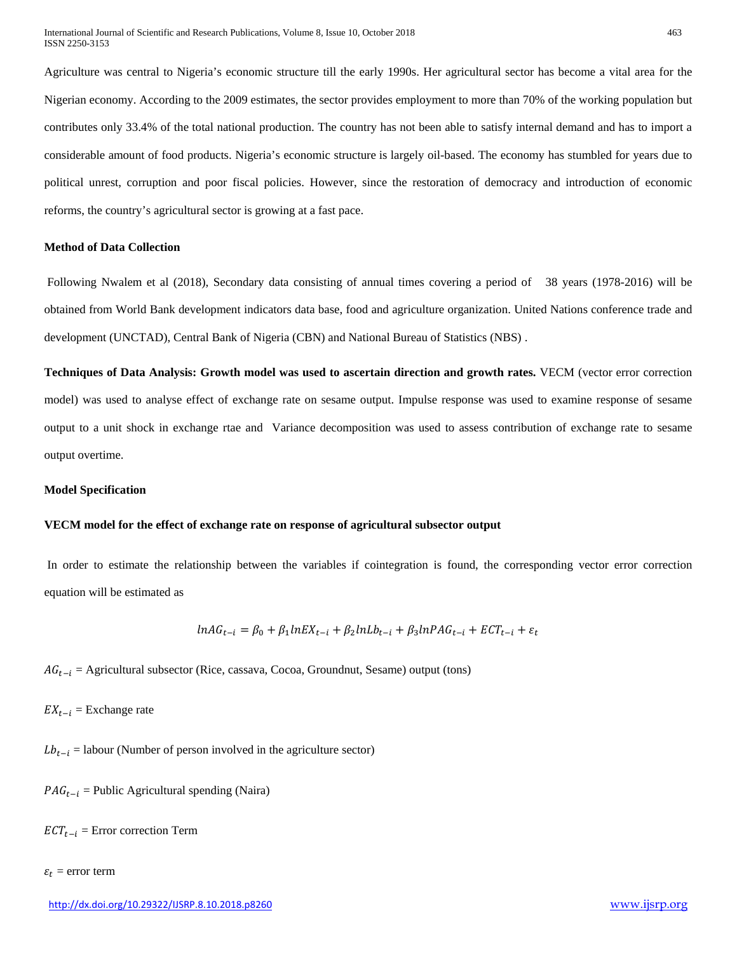Agriculture was central to Nigeria's economic structure till the early 1990s. Her agricultural sector has become a vital area for the Nigerian economy. According to the 2009 estimates, the sector provides employment to more than 70% of the working population but contributes only 33.4% of the total national production. The country has not been able to satisfy internal demand and has to import a considerable amount of food products. Nigeria's economic structure is largely oil-based. The economy has stumbled for years due to political unrest, corruption and poor fiscal policies. However, since the restoration of democracy and introduction of economic reforms, the country's agricultural sector is growing at a fast pace.

#### **Method of Data Collection**

Following Nwalem et al (2018), Secondary data consisting of annual times covering a period of 38 years (1978-2016) will be obtained from World Bank development indicators data base, food and agriculture organization. United Nations conference trade and development (UNCTAD), Central Bank of Nigeria (CBN) and National Bureau of Statistics (NBS) .

**Techniques of Data Analysis: Growth model was used to ascertain direction and growth rates.** VECM (vector error correction model) was used to analyse effect of exchange rate on sesame output. Impulse response was used to examine response of sesame output to a unit shock in exchange rtae and Variance decomposition was used to assess contribution of exchange rate to sesame output overtime.

#### **Model Specification**

#### **VECM model for the effect of exchange rate on response of agricultural subsector output**

In order to estimate the relationship between the variables if cointegration is found, the corresponding vector error correction equation will be estimated as

$$
lnAG_{t-i} = \beta_0 + \beta_1 lnEX_{t-i} + \beta_2 lnLb_{t-i} + \beta_3 lnPAG_{t-i} + ECT_{t-i} + \varepsilon_t
$$

 $AG_{t-i}$  = Agricultural subsector (Rice, cassava, Cocoa, Groundnut, Sesame) output (tons)

 $EX_{t-i}$  = Exchange rate

 $Lb_{t-i}$  = labour (Number of person involved in the agriculture sector)

 $PAG_{t-i}$  = Public Agricultural spending (Naira)

 $ECT_{t-i}$  = Error correction Term

#### $\varepsilon_t$  = error term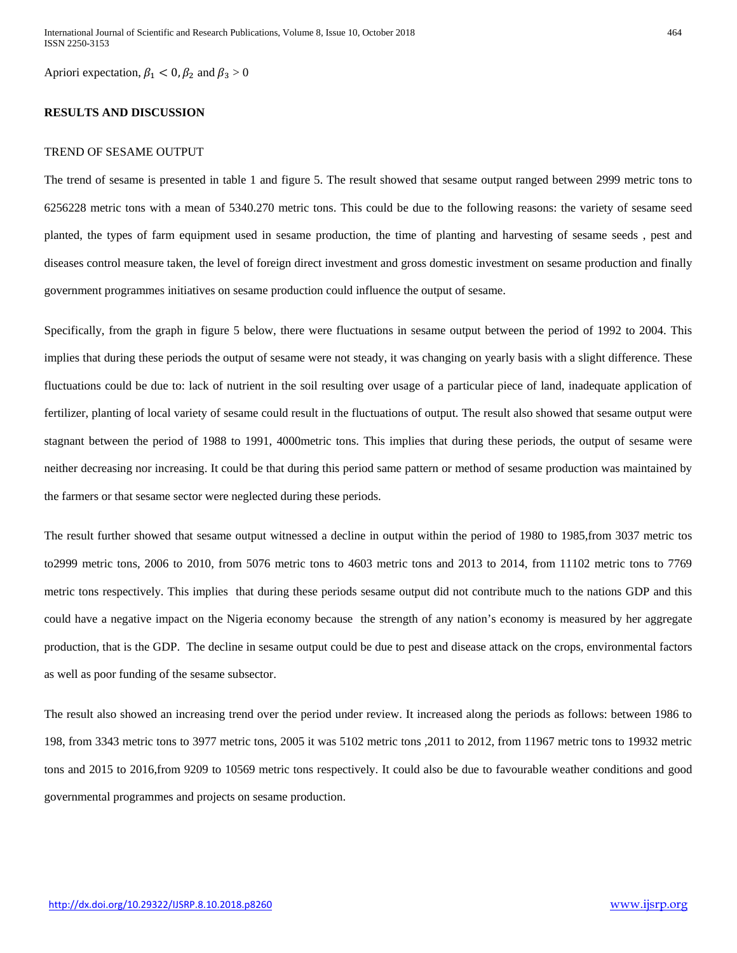Apriori expectation,  $\beta_1 < 0$ ,  $\beta_2$  and  $\beta_3 > 0$ 

## **RESULTS AND DISCUSSION**

# TREND OF SESAME OUTPUT

The trend of sesame is presented in table 1 and figure 5. The result showed that sesame output ranged between 2999 metric tons to 6256228 metric tons with a mean of 5340.270 metric tons. This could be due to the following reasons: the variety of sesame seed planted, the types of farm equipment used in sesame production, the time of planting and harvesting of sesame seeds , pest and diseases control measure taken, the level of foreign direct investment and gross domestic investment on sesame production and finally government programmes initiatives on sesame production could influence the output of sesame.

Specifically, from the graph in figure 5 below, there were fluctuations in sesame output between the period of 1992 to 2004. This implies that during these periods the output of sesame were not steady, it was changing on yearly basis with a slight difference. These fluctuations could be due to: lack of nutrient in the soil resulting over usage of a particular piece of land, inadequate application of fertilizer, planting of local variety of sesame could result in the fluctuations of output. The result also showed that sesame output were stagnant between the period of 1988 to 1991, 4000metric tons. This implies that during these periods, the output of sesame were neither decreasing nor increasing. It could be that during this period same pattern or method of sesame production was maintained by the farmers or that sesame sector were neglected during these periods.

The result further showed that sesame output witnessed a decline in output within the period of 1980 to 1985,from 3037 metric tos to2999 metric tons, 2006 to 2010, from 5076 metric tons to 4603 metric tons and 2013 to 2014, from 11102 metric tons to 7769 metric tons respectively. This implies that during these periods sesame output did not contribute much to the nations GDP and this could have a negative impact on the Nigeria economy because the strength of any nation's economy is measured by her aggregate production, that is the GDP. The decline in sesame output could be due to pest and disease attack on the crops, environmental factors as well as poor funding of the sesame subsector.

The result also showed an increasing trend over the period under review. It increased along the periods as follows: between 1986 to 198, from 3343 metric tons to 3977 metric tons, 2005 it was 5102 metric tons ,2011 to 2012, from 11967 metric tons to 19932 metric tons and 2015 to 2016,from 9209 to 10569 metric tons respectively. It could also be due to favourable weather conditions and good governmental programmes and projects on sesame production.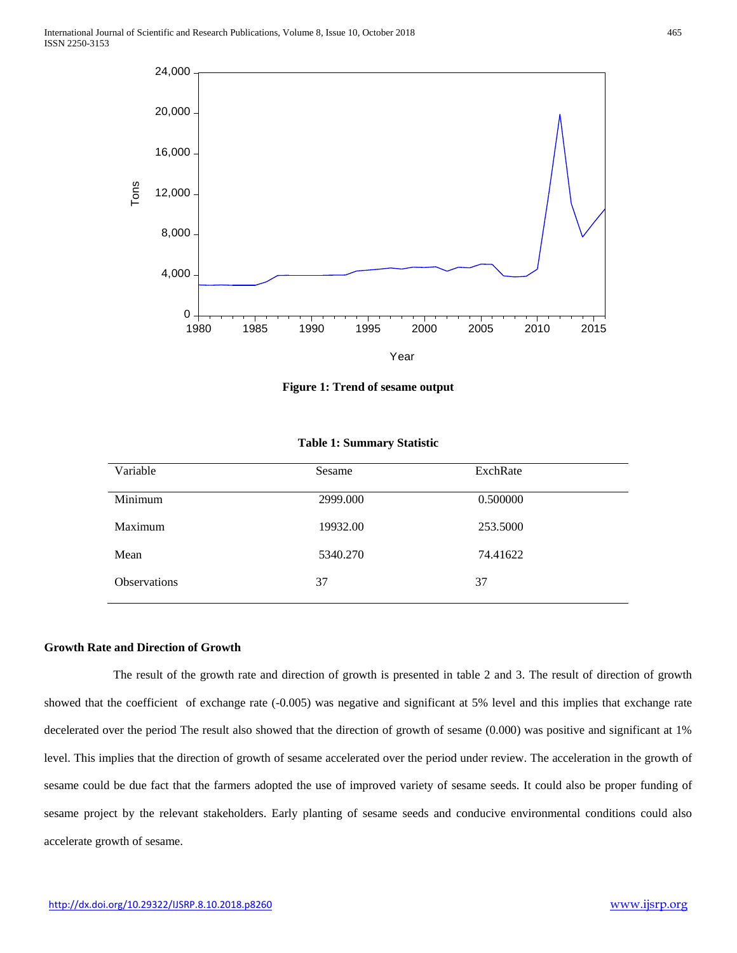

**Figure 1: Trend of sesame output**

| Variable            | Sesame   | ExchRate |
|---------------------|----------|----------|
| Minimum             | 2999.000 | 0.500000 |
| Maximum             | 19932.00 | 253.5000 |
| Mean                | 5340.270 | 74.41622 |
| <b>Observations</b> | 37       | 37       |

**Table 1: Summary Statistic**

# **Growth Rate and Direction of Growth**

 The result of the growth rate and direction of growth is presented in table 2 and 3. The result of direction of growth showed that the coefficient of exchange rate (-0.005) was negative and significant at 5% level and this implies that exchange rate decelerated over the period The result also showed that the direction of growth of sesame (0.000) was positive and significant at 1% level. This implies that the direction of growth of sesame accelerated over the period under review. The acceleration in the growth of sesame could be due fact that the farmers adopted the use of improved variety of sesame seeds. It could also be proper funding of sesame project by the relevant stakeholders. Early planting of sesame seeds and conducive environmental conditions could also accelerate growth of sesame.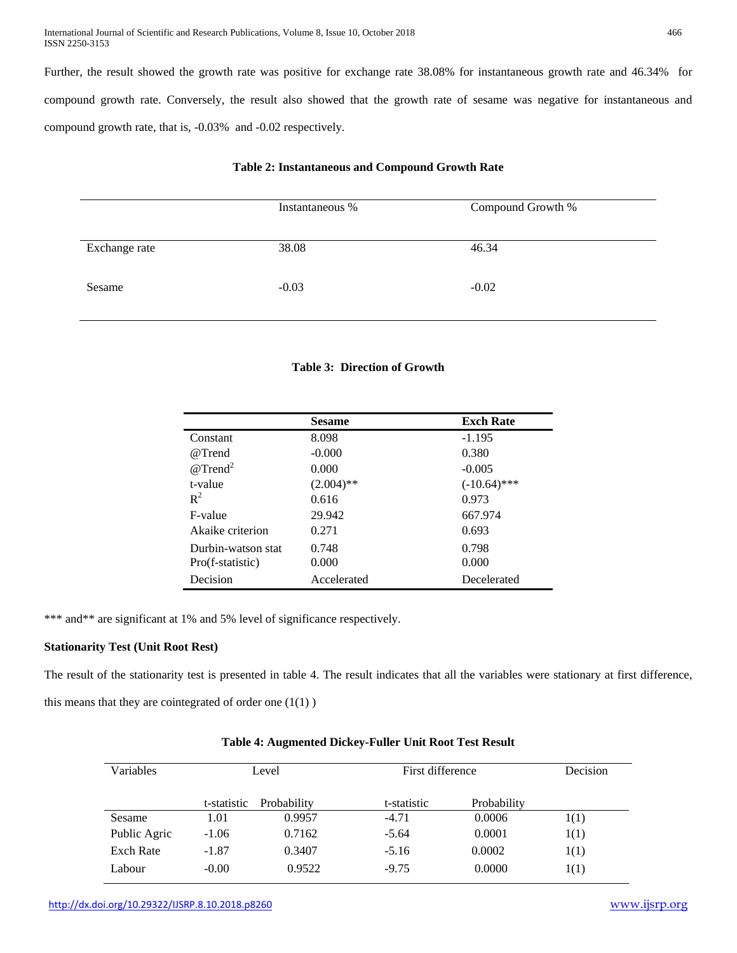International Journal of Scientific and Research Publications, Volume 8, Issue 10, October 2018 466 ISSN 2250-3153

Further, the result showed the growth rate was positive for exchange rate 38.08% for instantaneous growth rate and 46.34% for compound growth rate. Conversely, the result also showed that the growth rate of sesame was negative for instantaneous and compound growth rate, that is, -0.03% and -0.02 respectively.

|               | Instantaneous % | Compound Growth % |
|---------------|-----------------|-------------------|
| Exchange rate | 38.08           | 46.34             |
| Sesame        | $-0.03$         | $-0.02$           |

# **Table 2: Instantaneous and Compound Growth Rate**

# **Table 3: Direction of Growth**

|                    | <b>Sesame</b> | <b>Exch Rate</b> |
|--------------------|---------------|------------------|
| Constant           | 8.098         | $-1.195$         |
| @Trend             | $-0.000$      | 0.380            |
| $@Trend^2$         | 0.000         | $-0.005$         |
| t-value            | $(2.004)$ **  | $(-10.64)$ ***   |
| $R^2$              | 0.616         | 0.973            |
| F-value            | 29.942        | 667.974          |
| Akaike criterion   | 0.271         | 0.693            |
| Durbin-watson stat | 0.748         | 0.798            |
| Pro(f-statistic)   | 0.000         | 0.000            |
| Decision           | Accelerated   | Decelerated      |

\*\*\* and\*\* are significant at 1% and 5% level of significance respectively.

# **Stationarity Test (Unit Root Rest)**

The result of the stationarity test is presented in table 4. The result indicates that all the variables were stationary at first difference, this means that they are cointegrated of order one  $(1(1))$ 

| Variables        |             | Level       | First difference |             | Decision |
|------------------|-------------|-------------|------------------|-------------|----------|
|                  |             |             |                  |             |          |
|                  | t-statistic | Probability | t-statistic      | Probability |          |
| Sesame           | 1.01        | 0.9957      | $-4.71$          | 0.0006      | 1(1)     |
| Public Agric     | $-1.06$     | 0.7162      | $-5.64$          | 0.0001      | 1(1)     |
| <b>Exch Rate</b> | $-1.87$     | 0.3407      | $-5.16$          | 0.0002      | 1(1)     |
| Labour           | $-0.00$     | 0.9522      | $-9.75$          | 0.0000      | 1(1)     |

#### **Table 4: Augmented Dickey-Fuller Unit Root Test Result**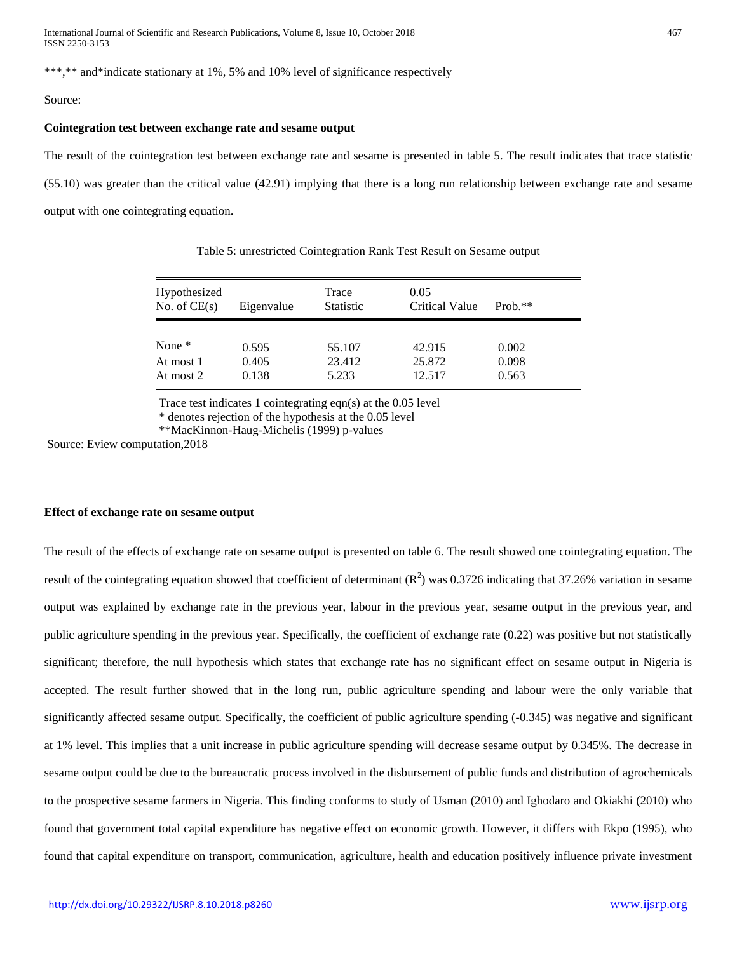\*\*\*,\*\* and\*indicate stationary at 1%, 5% and 10% level of significance respectively

## Source:

#### **Cointegration test between exchange rate and sesame output**

The result of the cointegration test between exchange rate and sesame is presented in table 5. The result indicates that trace statistic (55.10) was greater than the critical value (42.91) implying that there is a long run relationship between exchange rate and sesame output with one cointegrating equation.

| Hypothesized<br>No. of $CE(s)$ | Eigenvalue | Trace<br><b>Statistic</b> | 0.05<br>Critical Value | $Prob.**$ |
|--------------------------------|------------|---------------------------|------------------------|-----------|
| None $*$                       | 0.595      | 55.107                    | 42.915                 | 0.002     |
| At most 1                      | 0.405      | 23.412                    | 25.872                 | 0.098     |
| At most 2                      | 0.138      | 5.233                     | 12.517                 | 0.563     |

Table 5: unrestricted Cointegration Rank Test Result on Sesame output

Trace test indicates 1 cointegrating eqn(s) at the 0.05 level

\* denotes rejection of the hypothesis at the 0.05 level

\*\*MacKinnon-Haug-Michelis (1999) p-values

Source: Eview computation,2018

# **Effect of exchange rate on sesame output**

The result of the effects of exchange rate on sesame output is presented on table 6. The result showed one cointegrating equation. The result of the cointegrating equation showed that coefficient of determinant  $(R^2)$  was 0.3726 indicating that 37.26% variation in sesame output was explained by exchange rate in the previous year, labour in the previous year, sesame output in the previous year, and public agriculture spending in the previous year. Specifically, the coefficient of exchange rate (0.22) was positive but not statistically significant; therefore, the null hypothesis which states that exchange rate has no significant effect on sesame output in Nigeria is accepted. The result further showed that in the long run, public agriculture spending and labour were the only variable that significantly affected sesame output. Specifically, the coefficient of public agriculture spending (-0.345) was negative and significant at 1% level. This implies that a unit increase in public agriculture spending will decrease sesame output by 0.345%. The decrease in sesame output could be due to the bureaucratic process involved in the disbursement of public funds and distribution of agrochemicals to the prospective sesame farmers in Nigeria. This finding conforms to study of Usman (2010) and Ighodaro and Okiakhi (2010) who found that government total capital expenditure has negative effect on economic growth. However, it differs with Ekpo (1995), who found that capital expenditure on transport, communication, agriculture, health and education positively influence private investment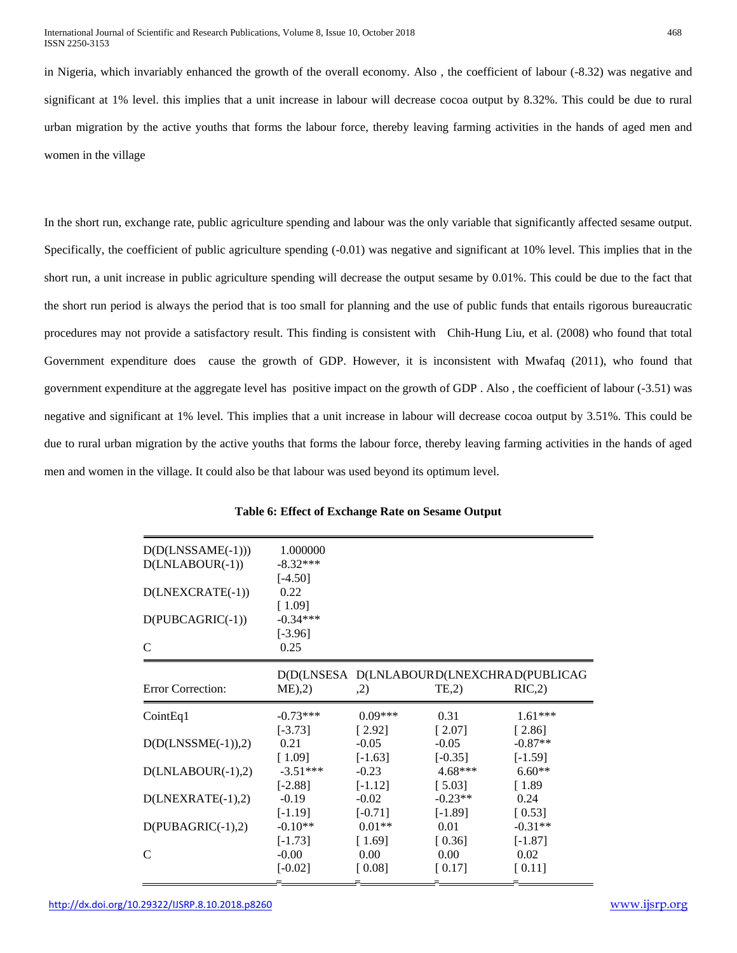in Nigeria, which invariably enhanced the growth of the overall economy. Also , the coefficient of labour (-8.32) was negative and significant at 1% level. this implies that a unit increase in labour will decrease cocoa output by 8.32%. This could be due to rural urban migration by the active youths that forms the labour force, thereby leaving farming activities in the hands of aged men and women in the village

In the short run, exchange rate, public agriculture spending and labour was the only variable that significantly affected sesame output. Specifically, the coefficient of public agriculture spending (-0.01) was negative and significant at 10% level. This implies that in the short run, a unit increase in public agriculture spending will decrease the output sesame by 0.01%. This could be due to the fact that the short run period is always the period that is too small for planning and the use of public funds that entails rigorous bureaucratic procedures may not provide a satisfactory result. This finding is consistent with Chih-Hung Liu, et al. (2008) who found that total Government expenditure does cause the growth of GDP. However, it is inconsistent with Mwafaq (2011), who found that government expenditure at the aggregate level has positive impact on the growth of GDP . Also , the coefficient of labour (-3.51) was negative and significant at 1% level. This implies that a unit increase in labour will decrease cocoa output by 3.51%. This could be due to rural urban migration by the active youths that forms the labour force, thereby leaving farming activities in the hands of aged men and women in the village. It could also be that labour was used beyond its optimum level.

| $D(D(LNSSAME(-1)))$  | 1.000000                |           |           |                                           |
|----------------------|-------------------------|-----------|-----------|-------------------------------------------|
| $D(LNLABOUR(-1))$    | $-8.32***$<br>$[-4.50]$ |           |           |                                           |
| D(LNEXCRATE(-1))     | 0.22                    |           |           |                                           |
| D(PUBCAGRIC(-1))     | [1.09]<br>$-0.34***$    |           |           |                                           |
| $\mathcal{C}$        | $[-3.96]$               |           |           |                                           |
|                      | 0.25                    |           |           |                                           |
|                      |                         |           |           | D(D(LNSESA D(LNLABOURD(LNEXCHRAD(PUBLICAG |
| Error Correction:    | ME <sub>1</sub> ,2      | ,2)       | TE, 2)    | RIC, 2)                                   |
| CointEq1             | $-0.73***$              | $0.09***$ | 0.31      | $1.61***$                                 |
|                      | $[-3.73]$               | [2.92]    | [2.07]    | [2.86]                                    |
| $D(D(LNSSME(-1)),2)$ | 0.21                    | $-0.05$   | $-0.05$   | $-0.87**$                                 |
|                      |                         |           |           |                                           |
|                      | [1.09]                  | $[-1.63]$ | $[-0.35]$ | $[-1.59]$                                 |
| $D(LNLABOUR(-1),2)$  | $-3.51***$              | $-0.23$   | $4.68***$ | $6.60**$                                  |
|                      | $[-2.88]$               | $[-1.12]$ | [5.03]    | $\lceil 1.89 \rceil$                      |
| $D(LNEXRATE(-1),2)$  | $-0.19$                 | $-0.02$   | $-0.23**$ | 0.24                                      |
|                      | $[-1.19]$               | $[-0.71]$ | $[-1.89]$ | [0.53]                                    |
| $D(PUBAGRIC(-1),2)$  | $-0.10**$               | $0.01**$  | 0.01      | $-0.31**$                                 |
|                      | $[-1.73]$               | [1.69]    | [0.36]    | $[-1.87]$                                 |
| C                    | $-0.00$                 | 0.00      | 0.00      | 0.02                                      |
|                      | $[-0.02]$               | [0.08]    | [0.17]    | $[0.11]$                                  |

**Table 6: Effect of Exchange Rate on Sesame Output**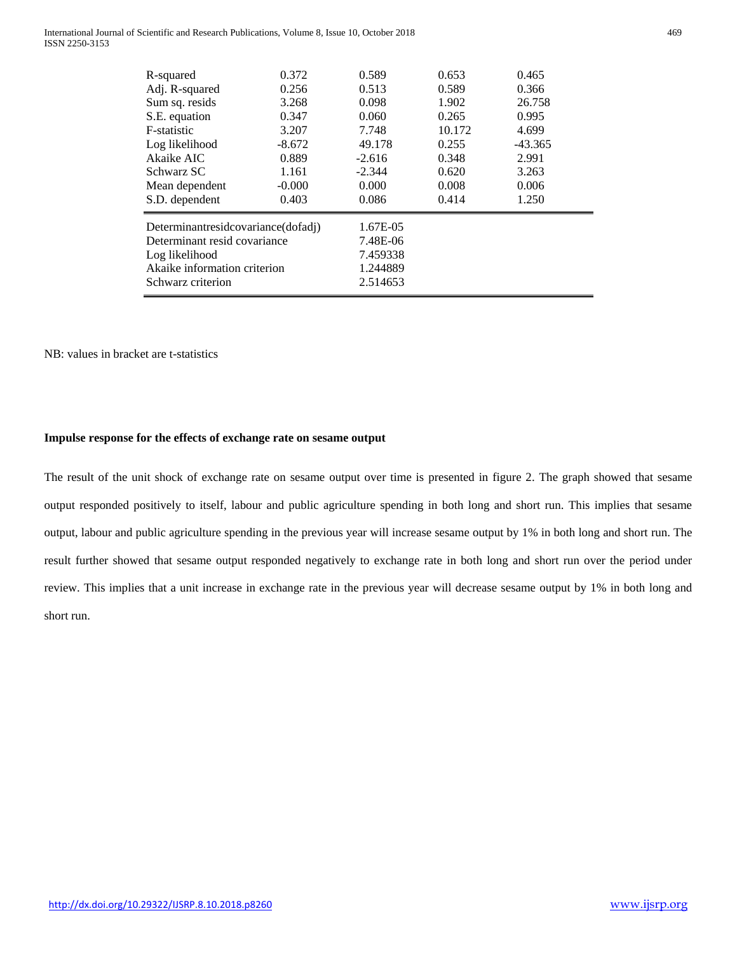International Journal of Scientific and Research Publications, Volume 8, Issue 10, October 2018 469 ISSN 2250-3153

| R-squared                          | 0.372    | 0.589    | 0.653  | 0.465     |  |
|------------------------------------|----------|----------|--------|-----------|--|
| Adj. R-squared                     | 0.256    | 0.513    | 0.589  | 0.366     |  |
| Sum sq. resids                     | 3.268    | 0.098    | 1.902  | 26.758    |  |
| S.E. equation                      | 0.347    | 0.060    | 0.265  | 0.995     |  |
| F-statistic                        | 3.207    | 7.748    | 10.172 | 4.699     |  |
| Log likelihood                     | $-8.672$ | 49.178   | 0.255  | $-43.365$ |  |
| Akaike AIC                         | 0.889    | $-2.616$ | 0.348  | 2.991     |  |
| Schwarz SC                         | 1.161    | $-2.344$ | 0.620  | 3.263     |  |
| Mean dependent                     | $-0.000$ | 0.000    | 0.008  | 0.006     |  |
| S.D. dependent                     | 0.403    | 0.086    | 0.414  | 1.250     |  |
| Determinantresidcovariance(dofadj) |          | 1.67E-05 |        |           |  |
| Determinant resid covariance       |          | 7.48E-06 |        |           |  |
| Log likelihood                     |          | 7.459338 |        |           |  |
| Akaike information criterion       |          | 1.244889 |        |           |  |
| Schwarz criterion                  |          | 2.514653 |        |           |  |
|                                    |          |          |        |           |  |

## NB: values in bracket are t-statistics

# **Impulse response for the effects of exchange rate on sesame output**

The result of the unit shock of exchange rate on sesame output over time is presented in figure 2. The graph showed that sesame output responded positively to itself, labour and public agriculture spending in both long and short run. This implies that sesame output, labour and public agriculture spending in the previous year will increase sesame output by 1% in both long and short run. The result further showed that sesame output responded negatively to exchange rate in both long and short run over the period under review. This implies that a unit increase in exchange rate in the previous year will decrease sesame output by 1% in both long and short run.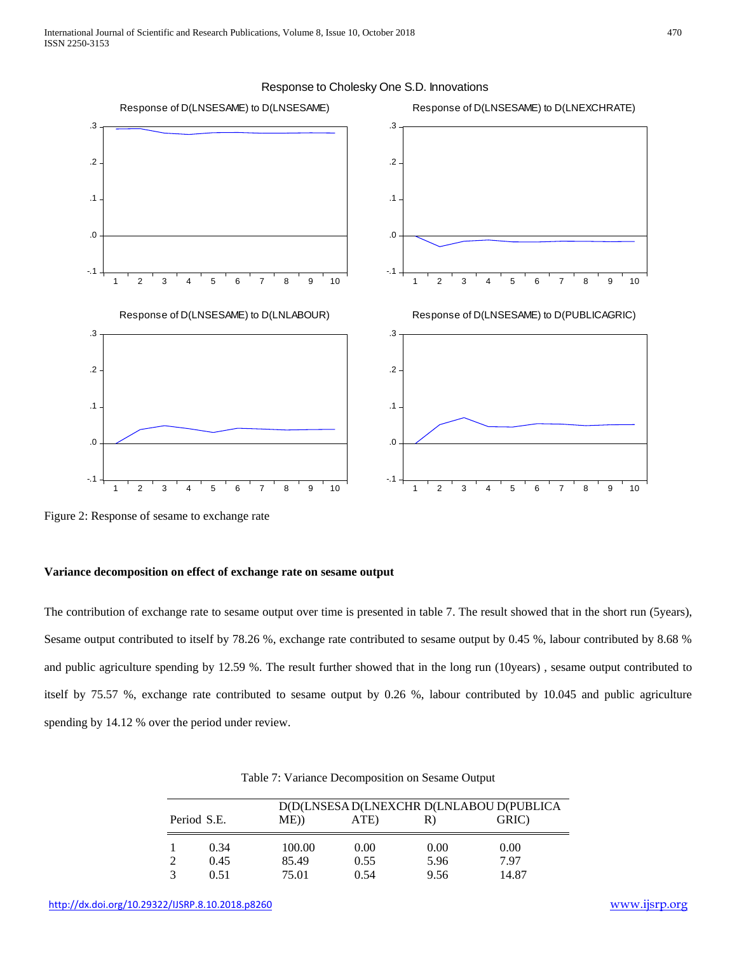

Response to Cholesky One S.D. Innovations

Figure 2: Response of sesame to exchange rate

### **Variance decomposition on effect of exchange rate on sesame output**

The contribution of exchange rate to sesame output over time is presented in table 7. The result showed that in the short run (5years), Sesame output contributed to itself by 78.26 %, exchange rate contributed to sesame output by 0.45 %, labour contributed by 8.68 % and public agriculture spending by 12.59 %. The result further showed that in the long run (10years) , sesame output contributed to itself by 75.57 %, exchange rate contributed to sesame output by 0.26 %, labour contributed by 10.045 and public agriculture spending by 14.12 % over the period under review.

|             |        |      |      | D(D(LNSESA D(LNEXCHR D(LNLABOU D(PUBLICA |
|-------------|--------|------|------|------------------------------------------|
| Period S.E. | $ME$ ) | ATE) | R)   | GRIC)                                    |
| 0.34        | 100.00 | 0.00 | 0.00 | 0.00                                     |
| 0.45        | 85.49  | 0.55 | 5.96 | 7.97                                     |
| 0.51        | 75.01  | 0.54 | 9.56 | 14.87                                    |

Table 7: Variance Decomposition on Sesame Output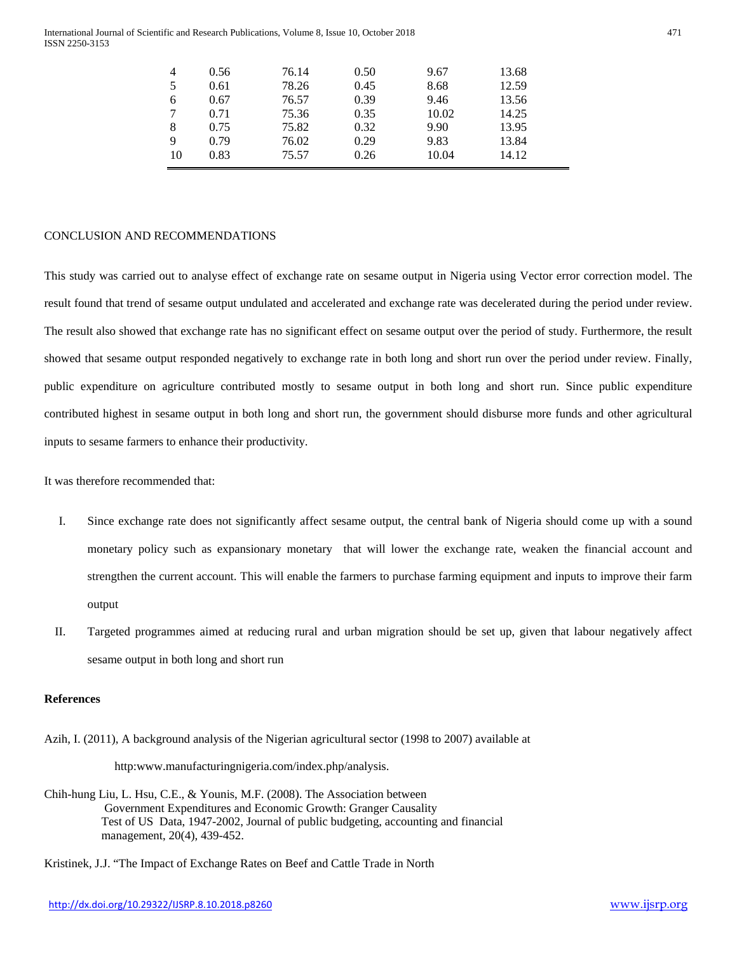#### International Journal of Scientific and Research Publications, Volume 8, Issue 10, October 2018 471 ISSN 2250-3153

| $\overline{4}$ | 0.56 | 76.14 | 0.50 | 9.67  | 13.68 |
|----------------|------|-------|------|-------|-------|
| 5              | 0.61 | 78.26 | 0.45 | 8.68  | 12.59 |
| 6              | 0.67 | 76.57 | 0.39 | 9.46  | 13.56 |
|                | 0.71 | 75.36 | 0.35 | 10.02 | 14.25 |
| 8              | 0.75 | 75.82 | 0.32 | 9.90  | 13.95 |
| 9              | 0.79 | 76.02 | 0.29 | 9.83  | 13.84 |
| 10             | 0.83 | 75.57 | 0.26 | 10.04 | 14.12 |

## CONCLUSION AND RECOMMENDATIONS

This study was carried out to analyse effect of exchange rate on sesame output in Nigeria using Vector error correction model. The result found that trend of sesame output undulated and accelerated and exchange rate was decelerated during the period under review. The result also showed that exchange rate has no significant effect on sesame output over the period of study. Furthermore, the result showed that sesame output responded negatively to exchange rate in both long and short run over the period under review. Finally, public expenditure on agriculture contributed mostly to sesame output in both long and short run. Since public expenditure contributed highest in sesame output in both long and short run, the government should disburse more funds and other agricultural inputs to sesame farmers to enhance their productivity.

It was therefore recommended that:

- I. Since exchange rate does not significantly affect sesame output, the central bank of Nigeria should come up with a sound monetary policy such as expansionary monetary that will lower the exchange rate, weaken the financial account and strengthen the current account. This will enable the farmers to purchase farming equipment and inputs to improve their farm output
- II. Targeted programmes aimed at reducing rural and urban migration should be set up, given that labour negatively affect sesame output in both long and short run

# **References**

Azih, I. (2011), A background analysis of the Nigerian agricultural sector (1998 to 2007) available at

http:www.manufacturingnigeria.com/index.php/analysis.

Chih-hung Liu, L. Hsu, C.E., & Younis, M.F. (2008). The Association between Government Expenditures and Economic Growth: Granger Causality Test of US Data, 1947-2002, Journal of public budgeting, accounting and financial management, 20(4), 439-452.

Kristinek, J.J. "The Impact of Exchange Rates on Beef and Cattle Trade in North